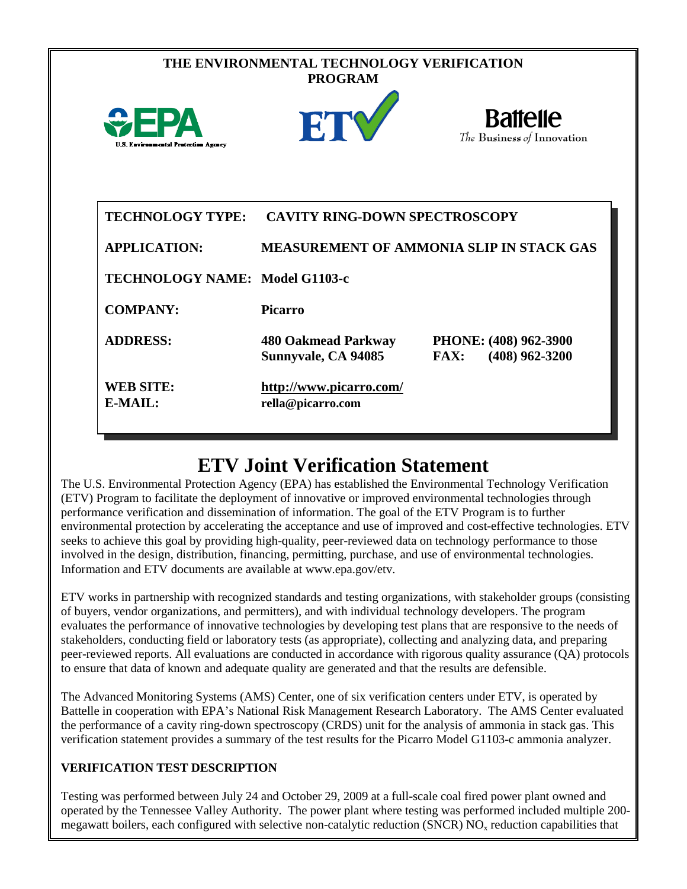|                                                | THE ENVIRONMENTAL TECHNOLOGY VERIFICATION<br><b>PROGRAM</b> |                                                          |
|------------------------------------------------|-------------------------------------------------------------|----------------------------------------------------------|
| <b>U.S. Environmental Protection Agency</b>    | ETV                                                         | <b>Battelle</b><br>The Business of Innovation            |
| <b>TECHNOLOGY TYPE:</b><br><b>APPLICATION:</b> | <b>CAVITY RING-DOWN SPECTROSCOPY</b>                        | <b>MEASUREMENT OF AMMONIA SLIP IN STACK GAS</b>          |
| <b>TECHNOLOGY NAME: Model G1103-c</b>          |                                                             |                                                          |
| <b>COMPANY:</b>                                | <b>Picarro</b>                                              |                                                          |
| <b>ADDRESS:</b>                                | <b>480 Oakmead Parkway</b><br>Sunnyvale, CA 94085           | PHONE: (408) 962-3900<br>$(408)$ 962-3200<br><b>FAX:</b> |
| <b>WEB SITE:</b><br>E-MAIL:                    | http://www.picarro.com/<br>rella@picarro.com                |                                                          |

## **ETV Joint Verification Statement**

The U.S. Environmental Protection Agency (EPA) has established the Environmental Technology Verification (ETV) Program to facilitate the deployment of innovative or improved environmental technologies through performance verification and dissemination of information. The goal of the ETV Program is to further environmental protection by accelerating the acceptance and use of improved and cost-effective technologies. ETV seeks to achieve this goal by providing high-quality, peer-reviewed data on technology performance to those involved in the design, distribution, financing, permitting, purchase, and use of environmental technologies. Information and ETV documents are available at www.epa.gov/etv.

ETV works in partnership with recognized standards and testing organizations, with stakeholder groups (consisting of buyers, vendor organizations, and permitters), and with individual technology developers. The program evaluates the performance of innovative technologies by developing test plans that are responsive to the needs of stakeholders, conducting field or laboratory tests (as appropriate), collecting and analyzing data, and preparing peer-reviewed reports. All evaluations are conducted in accordance with rigorous quality assurance (QA) protocols to ensure that data of known and adequate quality are generated and that the results are defensible.

The Advanced Monitoring Systems (AMS) Center, one of six verification centers under ETV, is operated by Battelle in cooperation with EPA's National Risk Management Research Laboratory. The AMS Center evaluated the performance of a cavity ring-down spectroscopy (CRDS) unit for the analysis of ammonia in stack gas. This verification statement provides a summary of the test results for the Picarro Model G1103-c ammonia analyzer.

## **VERIFICATION TEST DESCRIPTION**

Testing was performed between July 24 and October 29, 2009 at a full-scale coal fired power plant owned and operated by the Tennessee Valley Authority. The power plant where testing was performed included multiple 200 megawatt boilers, each configured with selective non-catalytic reduction (SNCR)  $NO<sub>x</sub>$  reduction capabilities that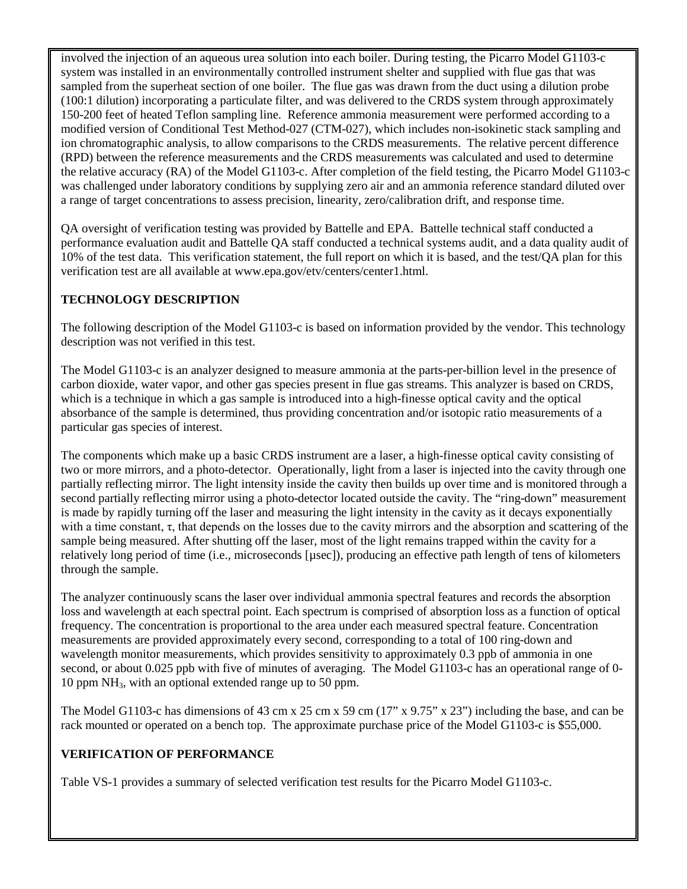involved the injection of an aqueous urea solution into each boiler. During testing, the Picarro Model G1103-c system was installed in an environmentally controlled instrument shelter and supplied with flue gas that was sampled from the superheat section of one boiler. The flue gas was drawn from the duct using a dilution probe (100:1 dilution) incorporating a particulate filter, and was delivered to the CRDS system through approximately 150-200 feet of heated Teflon sampling line. Reference ammonia measurement were performed according to a modified version of Conditional Test Method-027 (CTM-027), which includes non-isokinetic stack sampling and ion chromatographic analysis, to allow comparisons to the CRDS measurements. The relative percent difference (RPD) between the reference measurements and the CRDS measurements was calculated and used to determine the relative accuracy (RA) of the Model G1103-c. After completion of the field testing, the Picarro Model G1103-c was challenged under laboratory conditions by supplying zero air and an ammonia reference standard diluted over a range of target concentrations to assess precision, linearity, zero/calibration drift, and response time.

QA oversight of verification testing was provided by Battelle and EPA. Battelle technical staff conducted a performance evaluation audit and Battelle QA staff conducted a technical systems audit, and a data quality audit of 10% of the test data. This verification statement, the full report on which it is based, and the test/QA plan for this verification test are all available at www.epa.gov/etv/centers/center1.html.

## **TECHNOLOGY DESCRIPTION**

The following description of the Model G1103-c is based on information provided by the vendor. This technology description was not verified in this test.

The Model G1103-c is an analyzer designed to measure ammonia at the parts-per-billion level in the presence of carbon dioxide, water vapor, and other gas species present in flue gas streams. This analyzer is based on CRDS, which is a technique in which a gas sample is introduced into a high-finesse optical cavity and the optical absorbance of the sample is determined, thus providing concentration and/or isotopic ratio measurements of a particular gas species of interest.

The components which make up a basic CRDS instrument are a laser, a high-finesse optical cavity consisting of two or more mirrors, and a photo-detector. Operationally, light from a laser is injected into the cavity through one partially reflecting mirror. The light intensity inside the cavity then builds up over time and is monitored through a second partially reflecting mirror using a photo-detector located outside the cavity. The "ring-down" measurement is made by rapidly turning off the laser and measuring the light intensity in the cavity as it decays exponentially with a time constant,  $\tau$ , that depends on the losses due to the cavity mirrors and the absorption and scattering of the sample being measured. After shutting off the laser, most of the light remains trapped within the cavity for a relatively long period of time (i.e., microseconds [µsec]), producing an effective path length of tens of kilometers through the sample.

The analyzer continuously scans the laser over individual ammonia spectral features and records the absorption loss and wavelength at each spectral point. Each spectrum is comprised of absorption loss as a function of optical frequency. The concentration is proportional to the area under each measured spectral feature. Concentration measurements are provided approximately every second, corresponding to a total of 100 ring-down and wavelength monitor measurements, which provides sensitivity to approximately 0.3 ppb of ammonia in one second, or about 0.025 ppb with five of minutes of averaging. The Model G1103-c has an operational range of 0- 10 ppm NH3, with an optional extended range up to 50 ppm.

The Model G1103-c has dimensions of 43 cm x 25 cm x 59 cm (17" x 9.75" x 23") including the base, and can be rack mounted or operated on a bench top. The approximate purchase price of the Model G1103-c is \$55,000.

## **VERIFICATION OF PERFORMANCE**

Table VS-1 provides a summary of selected verification test results for the Picarro Model G1103-c.